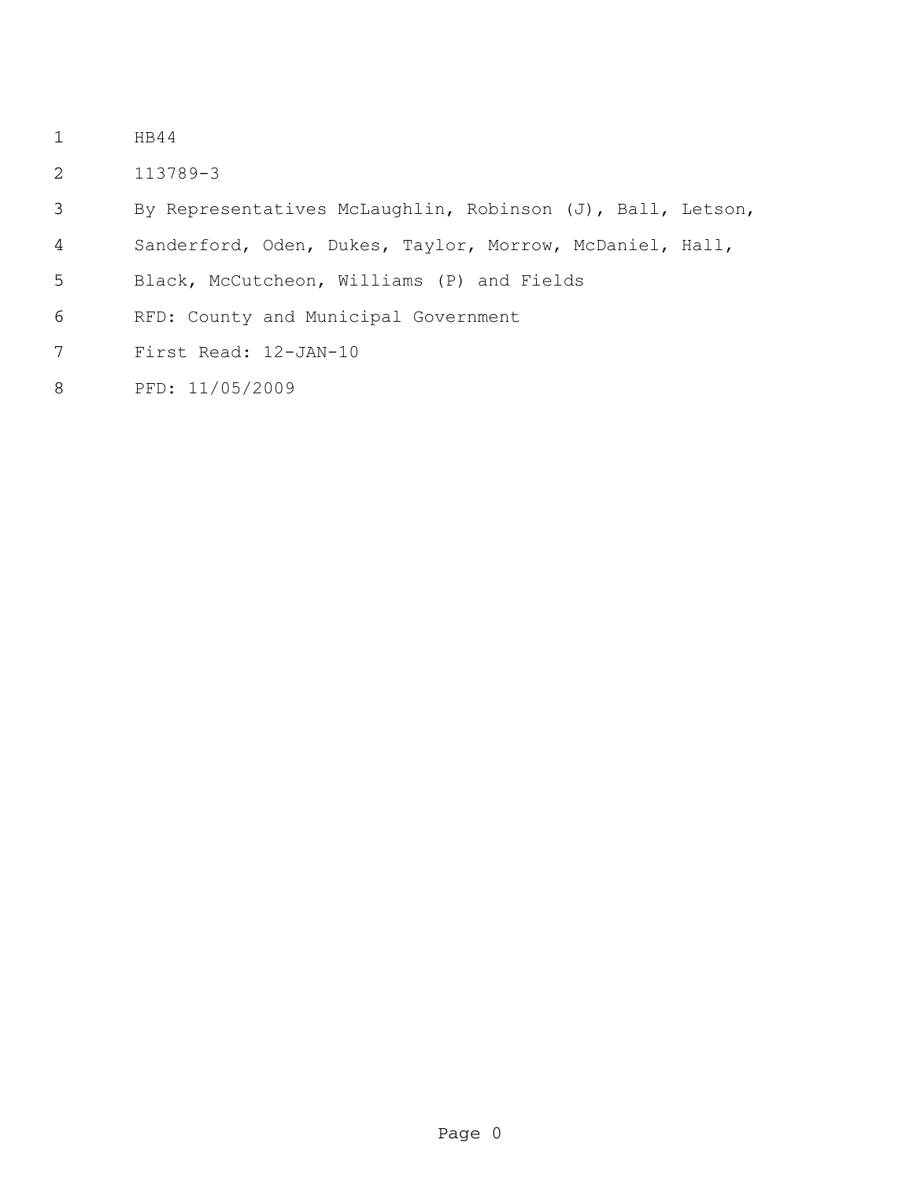- HB44
- 113789-3
- By Representatives McLaughlin, Robinson (J), Ball, Letson,
- Sanderford, Oden, Dukes, Taylor, Morrow, McDaniel, Hall,
- Black, McCutcheon, Williams (P) and Fields
- RFD: County and Municipal Government
- First Read: 12-JAN-10
- PFD: 11/05/2009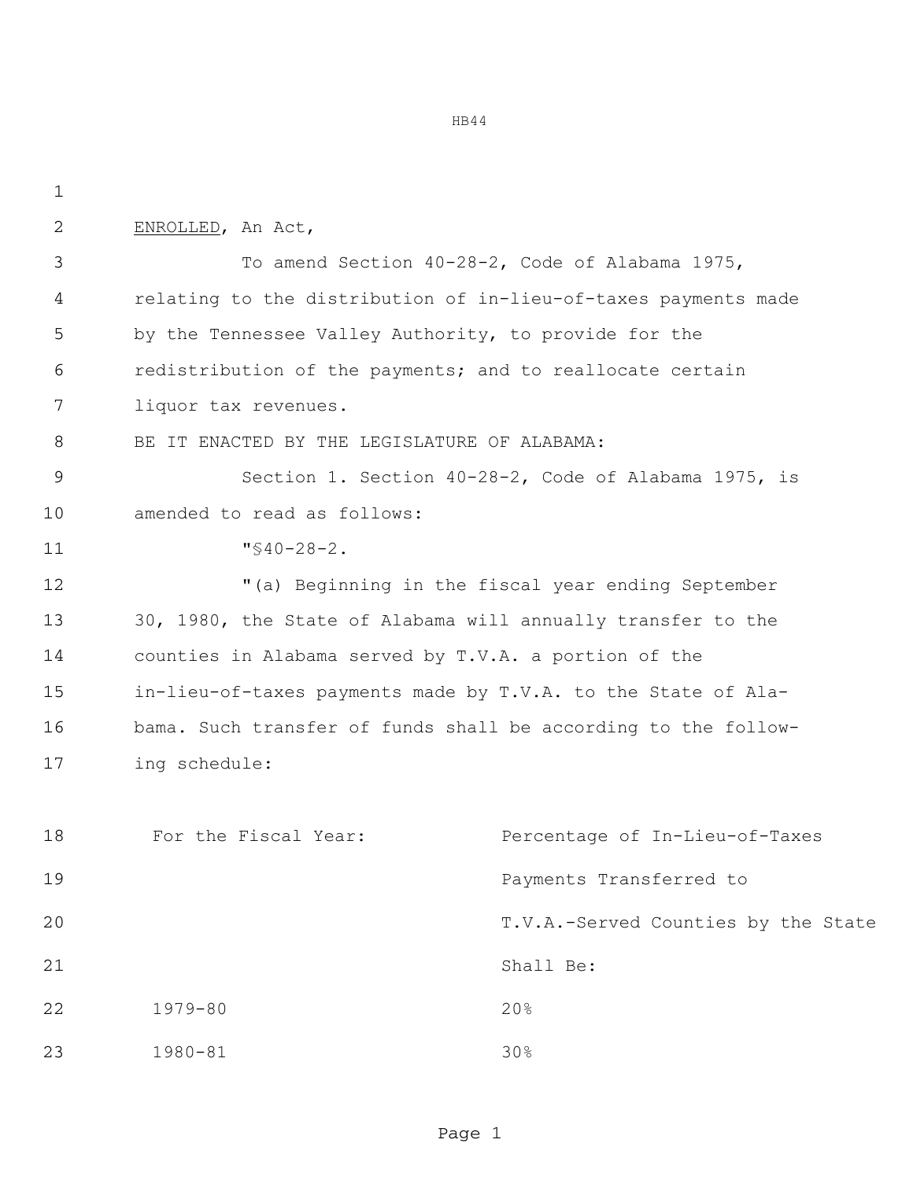ENROLLED, An Act, To amend Section 40-28-2, Code of Alabama 1975, relating to the distribution of in-lieu-of-taxes payments made by the Tennessee Valley Authority, to provide for the redistribution of the payments; and to reallocate certain liquor tax revenues. BE IT ENACTED BY THE LEGISLATURE OF ALABAMA: Section 1. Section 40-28-2, Code of Alabama 1975, is amended to read as follows: "§40-28-2. "(a) Beginning in the fiscal year ending September 30, 1980, the State of Alabama will annually transfer to the counties in Alabama served by T.V.A. a portion of the in-lieu-of-taxes payments made by T.V.A. to the State of Ala-

 bama. Such transfer of funds shall be according to the follow-ing schedule:

 For the Fiscal Year: Percentage of In-Lieu-of-Taxes Payments Transferred to 20 T.V.A.-Served Counties by the State 21 Shall Be: 1979-80 20% 1980-81 30%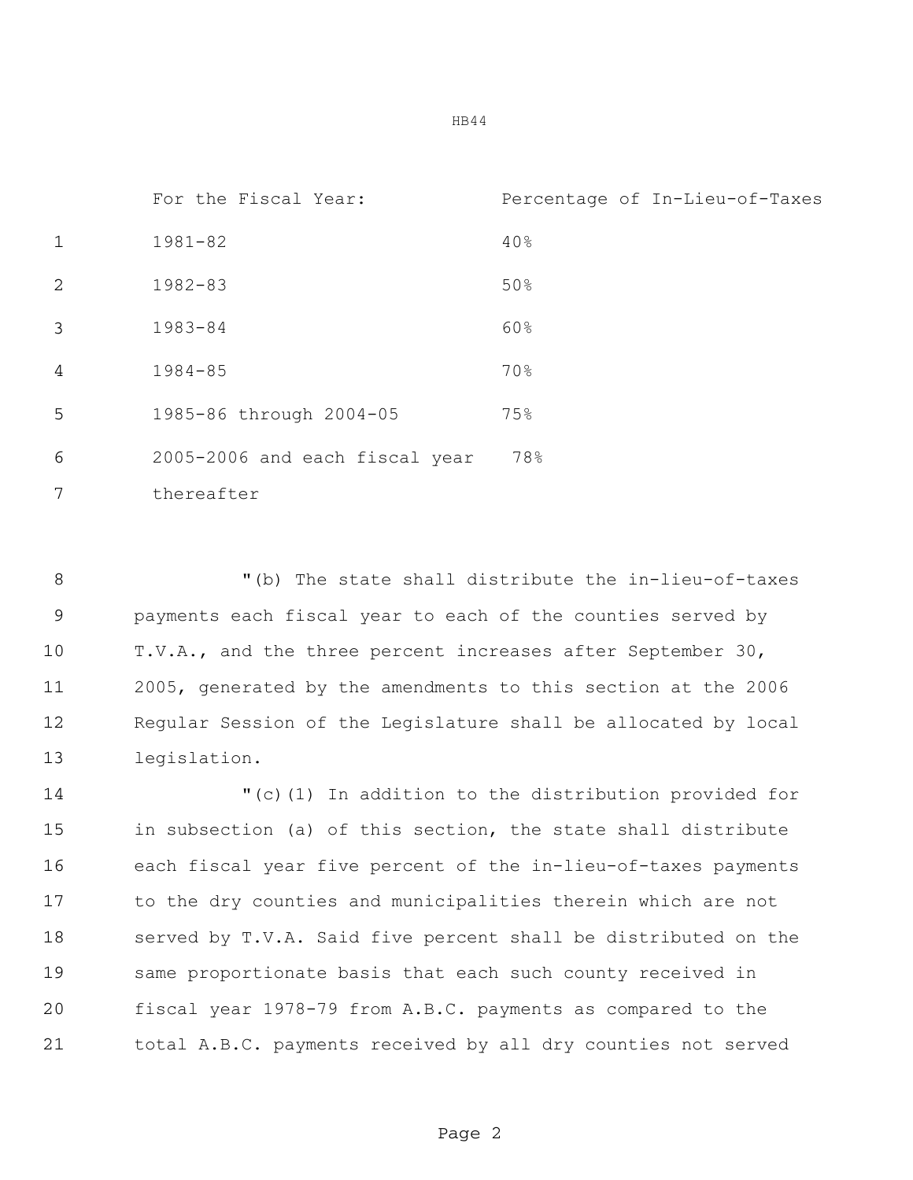|                | For the Fiscal Year:           | Percentage of In-Lieu-of-Taxes |
|----------------|--------------------------------|--------------------------------|
| $\mathbf{1}$   | $1981 - 82$                    | 40%                            |
| $\overline{2}$ | $1982 - 83$                    | 50%                            |
| $\mathfrak{Z}$ | $1983 - 84$                    | 60%                            |
| $\overline{4}$ | $1984 - 85$                    | 70%                            |
| 5              | 1985-86 through 2004-05        | 75%                            |
| 6              | 2005-2006 and each fiscal year | 78%                            |
| 7              | thereafter                     |                                |

8 "(b) The state shall distribute the in-lieu-of-taxes payments each fiscal year to each of the counties served by T.V.A., and the three percent increases after September 30, 2005, generated by the amendments to this section at the 2006 Regular Session of the Legislature shall be allocated by local legislation.

 "(c)(1) In addition to the distribution provided for in subsection (a) of this section, the state shall distribute each fiscal year five percent of the in-lieu-of-taxes payments to the dry counties and municipalities therein which are not served by T.V.A. Said five percent shall be distributed on the same proportionate basis that each such county received in fiscal year 1978-79 from A.B.C. payments as compared to the total A.B.C. payments received by all dry counties not served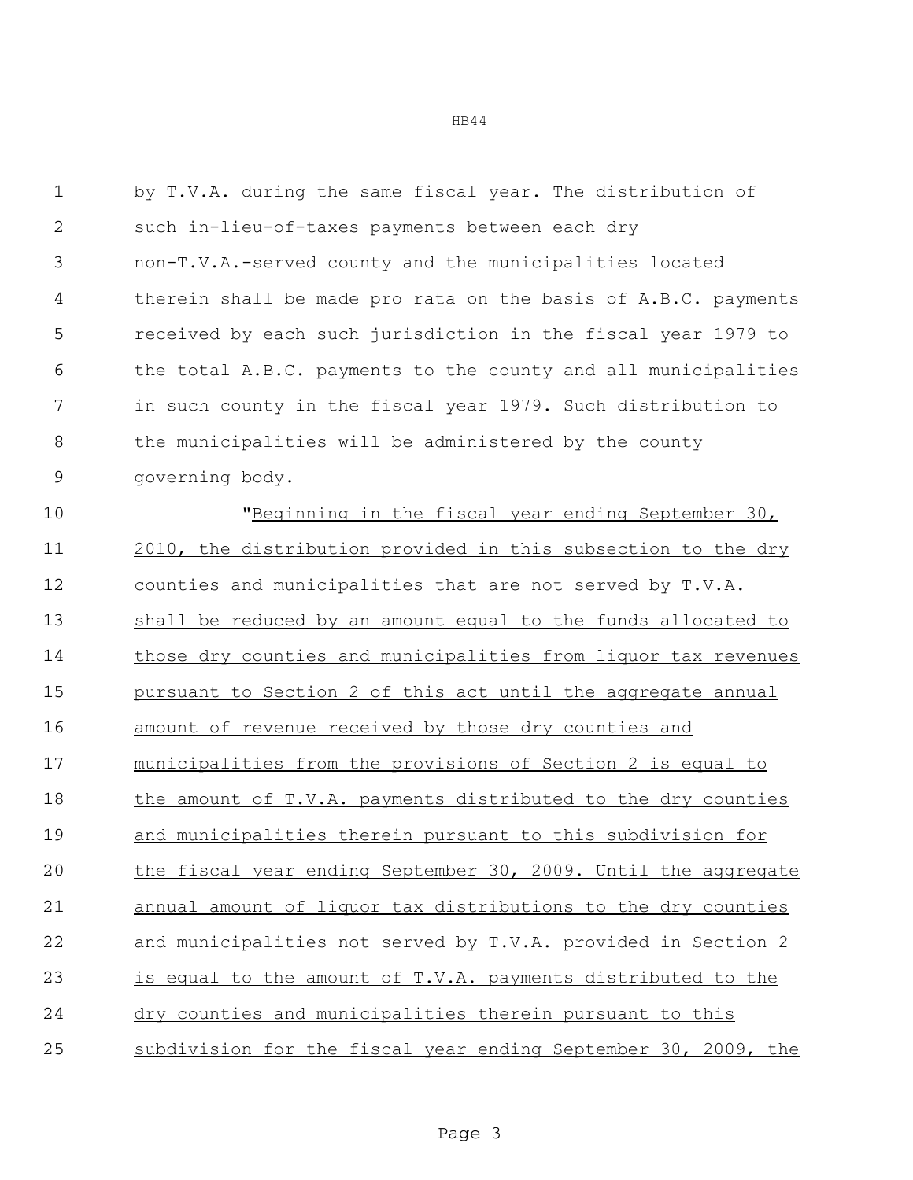by T.V.A. during the same fiscal year. The distribution of such in-lieu-of-taxes payments between each dry non-T.V.A.-served county and the municipalities located therein shall be made pro rata on the basis of A.B.C. payments received by each such jurisdiction in the fiscal year 1979 to the total A.B.C. payments to the county and all municipalities in such county in the fiscal year 1979. Such distribution to the municipalities will be administered by the county governing body.

 "Beginning in the fiscal year ending September 30, 11 2010, the distribution provided in this subsection to the dry counties and municipalities that are not served by T.V.A. shall be reduced by an amount equal to the funds allocated to those dry counties and municipalities from liquor tax revenues pursuant to Section 2 of this act until the aggregate annual amount of revenue received by those dry counties and municipalities from the provisions of Section 2 is equal to the amount of T.V.A. payments distributed to the dry counties and municipalities therein pursuant to this subdivision for the fiscal year ending September 30, 2009. Until the aggregate annual amount of liquor tax distributions to the dry counties and municipalities not served by T.V.A. provided in Section 2 is equal to the amount of T.V.A. payments distributed to the dry counties and municipalities therein pursuant to this subdivision for the fiscal year ending September 30, 2009, the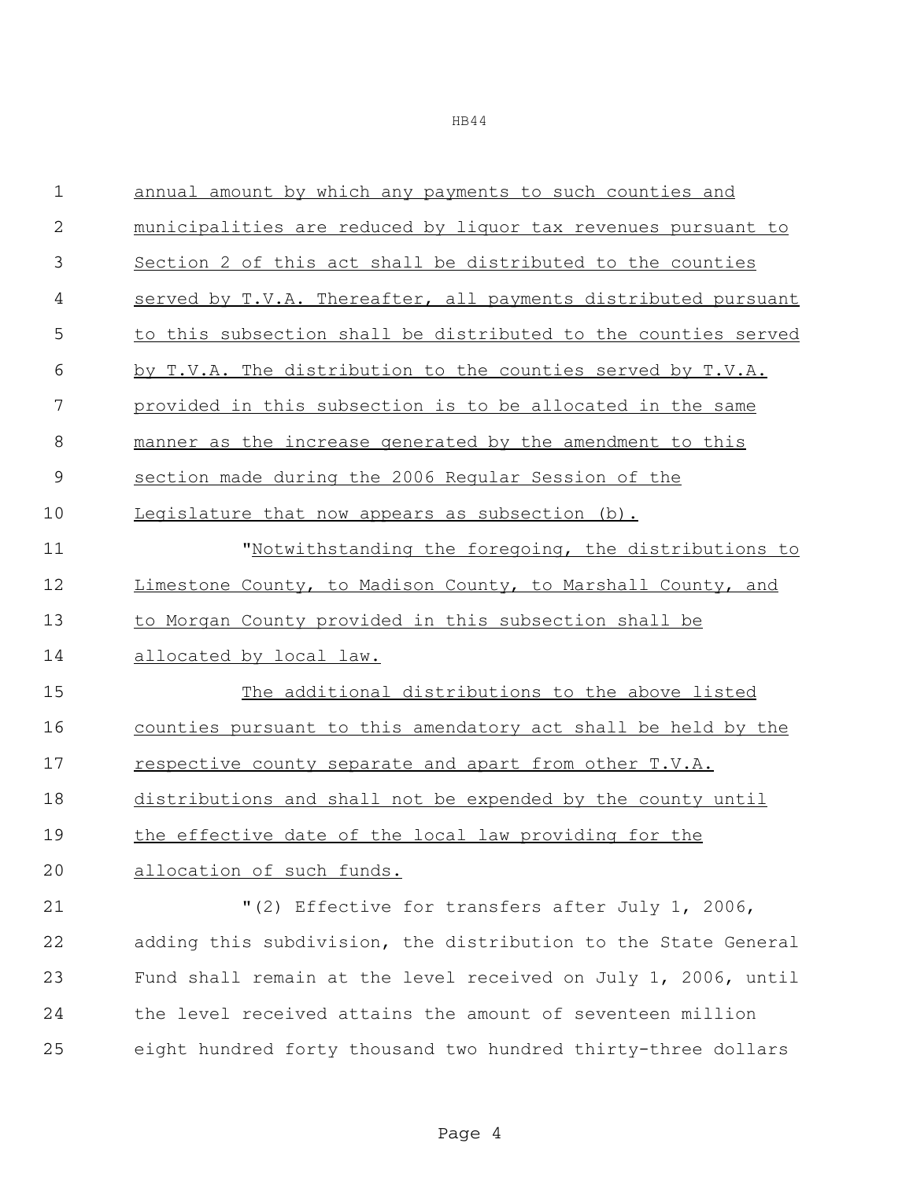| $\mathbf 1$    | annual amount by which any payments to such counties and       |  |  |  |
|----------------|----------------------------------------------------------------|--|--|--|
| 2              | municipalities are reduced by liquor tax revenues pursuant to  |  |  |  |
| 3              | Section 2 of this act shall be distributed to the counties     |  |  |  |
| 4              | served by T.V.A. Thereafter, all payments distributed pursuant |  |  |  |
| 5              | to this subsection shall be distributed to the counties served |  |  |  |
| 6              | by T.V.A. The distribution to the counties served by T.V.A.    |  |  |  |
| 7              | provided in this subsection is to be allocated in the same     |  |  |  |
| 8              | manner as the increase generated by the amendment to this      |  |  |  |
| $\overline{9}$ | section made during the 2006 Regular Session of the            |  |  |  |
| 10             | Legislature that now appears as subsection (b).                |  |  |  |
| 11             | "Notwithstanding the foregoing, the distributions to           |  |  |  |
| 12             | Limestone County, to Madison County, to Marshall County, and   |  |  |  |
| 13             | to Morgan County provided in this subsection shall be          |  |  |  |
| 14             | <u>allocated by local law.</u>                                 |  |  |  |
| 15             | The additional distributions to the above listed               |  |  |  |
| 16             | counties pursuant to this amendatory act shall be held by the  |  |  |  |
| 17             | respective county separate and apart from other T.V.A.         |  |  |  |
| 18             | distributions and shall not be expended by the county until    |  |  |  |
| 19             | the effective date of the local law providing for the          |  |  |  |
| 20             | allocation of such funds.                                      |  |  |  |
| 21             | "(2) Effective for transfers after July 1, 2006,               |  |  |  |
| 22             | adding this subdivision, the distribution to the State General |  |  |  |
| 23             | Fund shall remain at the level received on July 1, 2006, until |  |  |  |
| 24             | the level received attains the amount of seventeen million     |  |  |  |
| 25             | eight hundred forty thousand two hundred thirty-three dollars  |  |  |  |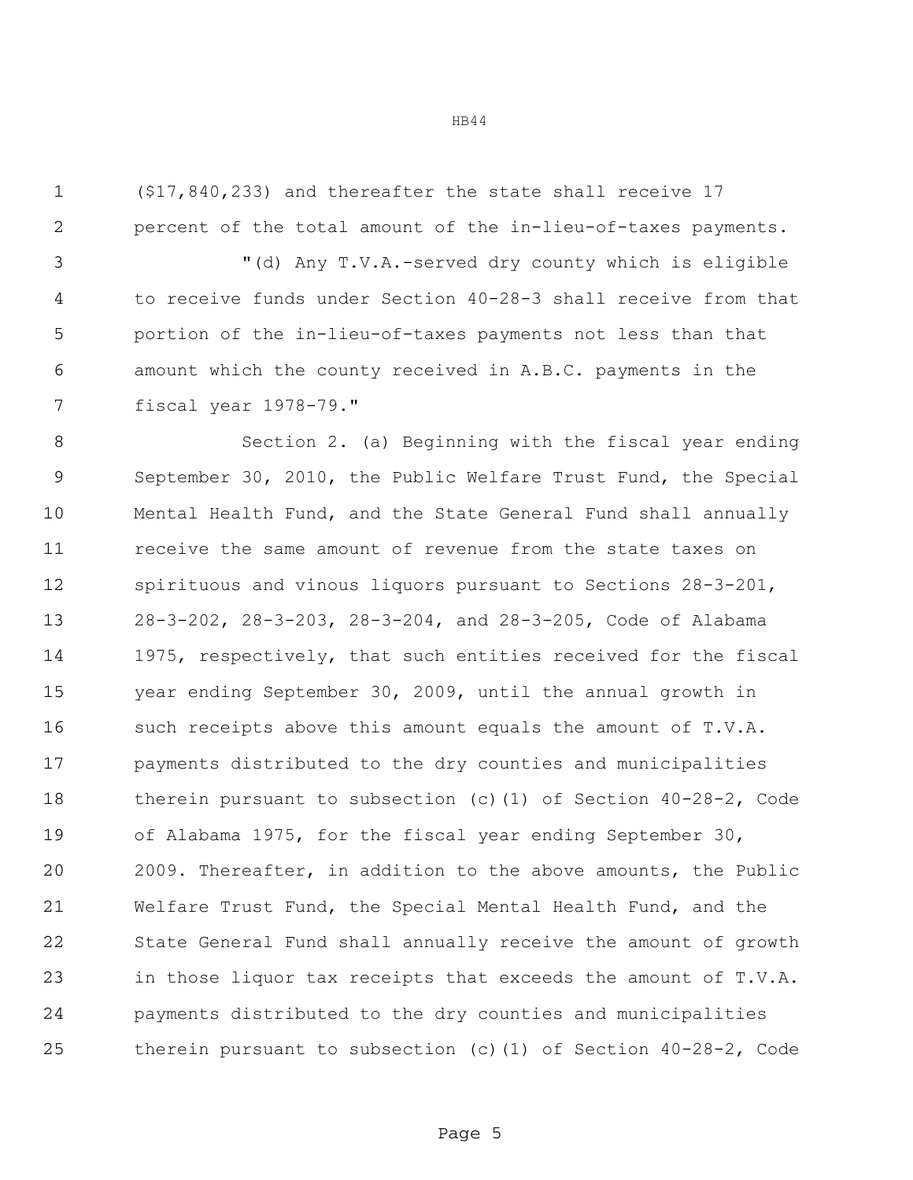(\$17,840,233) and thereafter the state shall receive 17 percent of the total amount of the in-lieu-of-taxes payments.

 "(d) Any T.V.A.-served dry county which is eligible to receive funds under Section 40-28-3 shall receive from that portion of the in-lieu-of-taxes payments not less than that amount which the county received in A.B.C. payments in the fiscal year 1978-79."

 Section 2. (a) Beginning with the fiscal year ending September 30, 2010, the Public Welfare Trust Fund, the Special Mental Health Fund, and the State General Fund shall annually receive the same amount of revenue from the state taxes on spirituous and vinous liquors pursuant to Sections 28-3-201, 28-3-202, 28-3-203, 28-3-204, and 28-3-205, Code of Alabama 1975, respectively, that such entities received for the fiscal year ending September 30, 2009, until the annual growth in 16 such receipts above this amount equals the amount of T.V.A. payments distributed to the dry counties and municipalities therein pursuant to subsection (c)(1) of Section 40-28-2, Code of Alabama 1975, for the fiscal year ending September 30, 2009. Thereafter, in addition to the above amounts, the Public Welfare Trust Fund, the Special Mental Health Fund, and the State General Fund shall annually receive the amount of growth in those liquor tax receipts that exceeds the amount of T.V.A. payments distributed to the dry counties and municipalities therein pursuant to subsection (c)(1) of Section 40-28-2, Code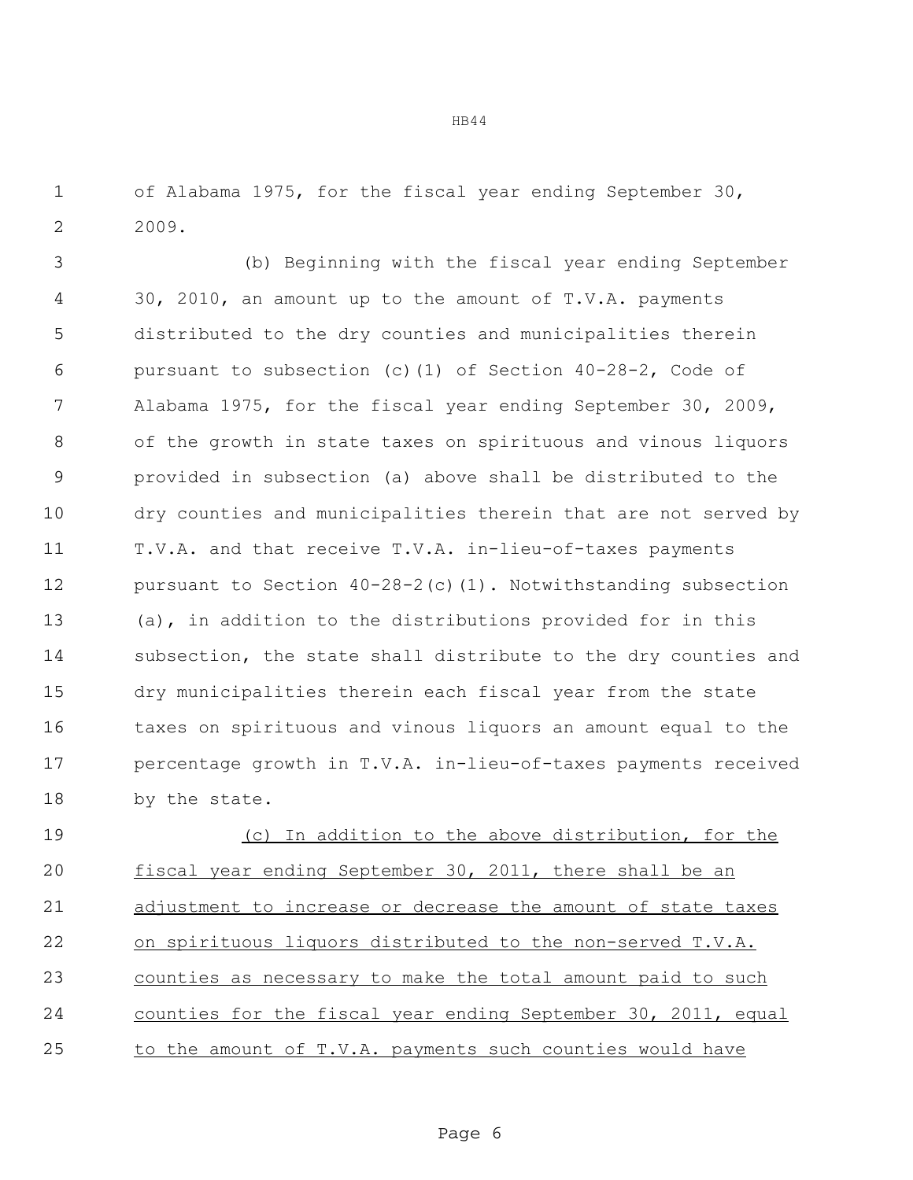of Alabama 1975, for the fiscal year ending September 30, 2009.

 (b) Beginning with the fiscal year ending September 30, 2010, an amount up to the amount of T.V.A. payments distributed to the dry counties and municipalities therein pursuant to subsection (c)(1) of Section 40-28-2, Code of Alabama 1975, for the fiscal year ending September 30, 2009, of the growth in state taxes on spirituous and vinous liquors provided in subsection (a) above shall be distributed to the dry counties and municipalities therein that are not served by T.V.A. and that receive T.V.A. in-lieu-of-taxes payments pursuant to Section 40-28-2(c)(1). Notwithstanding subsection (a), in addition to the distributions provided for in this subsection, the state shall distribute to the dry counties and dry municipalities therein each fiscal year from the state taxes on spirituous and vinous liquors an amount equal to the percentage growth in T.V.A. in-lieu-of-taxes payments received by the state.

 (c) In addition to the above distribution, for the fiscal year ending September 30, 2011, there shall be an 21 adjustment to increase or decrease the amount of state taxes on spirituous liquors distributed to the non-served T.V.A. counties as necessary to make the total amount paid to such counties for the fiscal year ending September 30, 2011, equal to the amount of T.V.A. payments such counties would have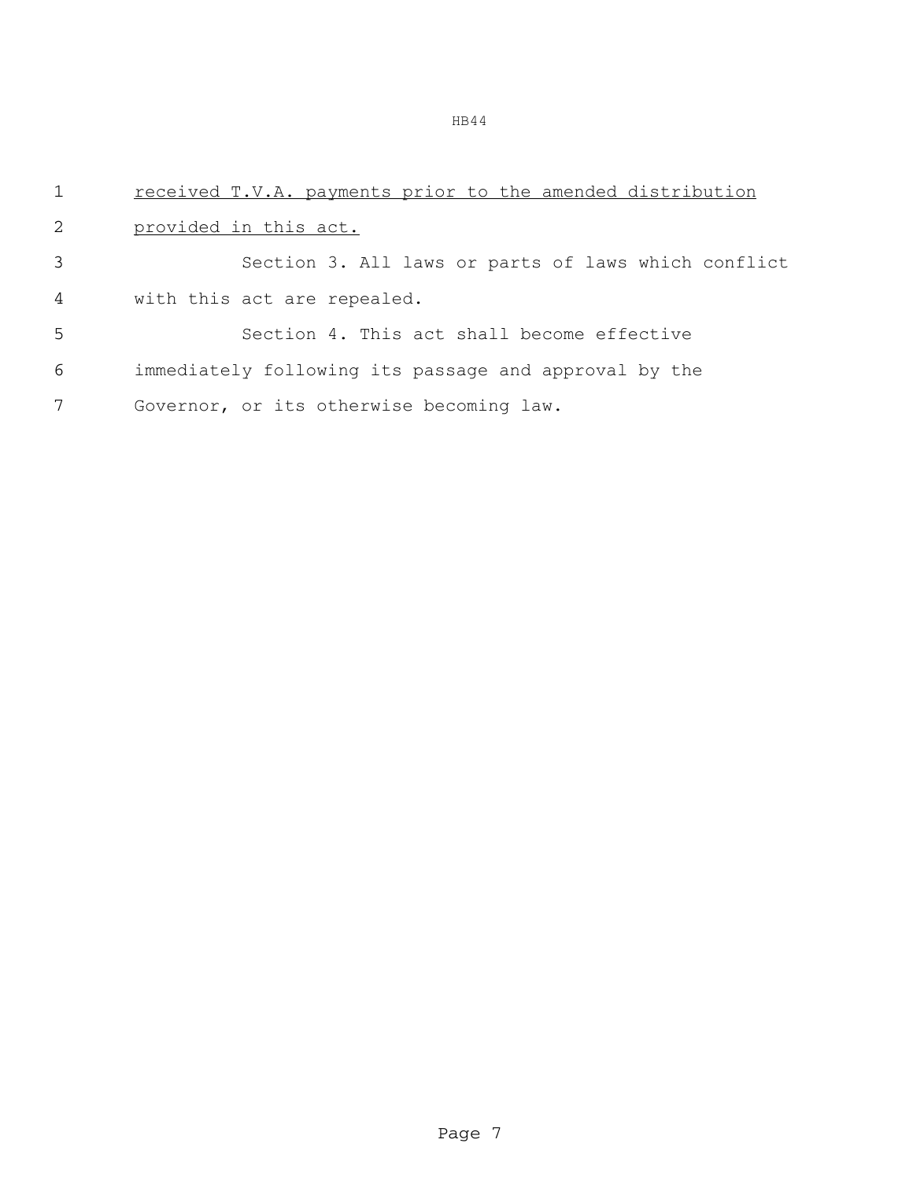| $\mathbf{1}$ | received T.V.A. payments prior to the amended distribution |  |  |  |
|--------------|------------------------------------------------------------|--|--|--|
| 2            | provided in this act.                                      |  |  |  |
| 3            | Section 3. All laws or parts of laws which conflict        |  |  |  |
| 4            | with this act are repealed.                                |  |  |  |
| 5            | Section 4. This act shall become effective                 |  |  |  |
| 6            | immediately following its passage and approval by the      |  |  |  |
| 7            | Governor, or its otherwise becoming law.                   |  |  |  |